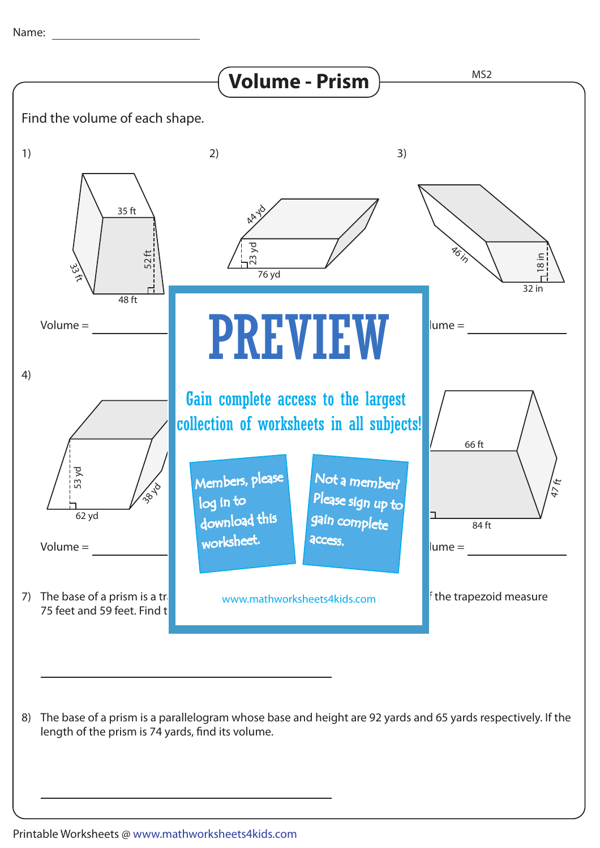